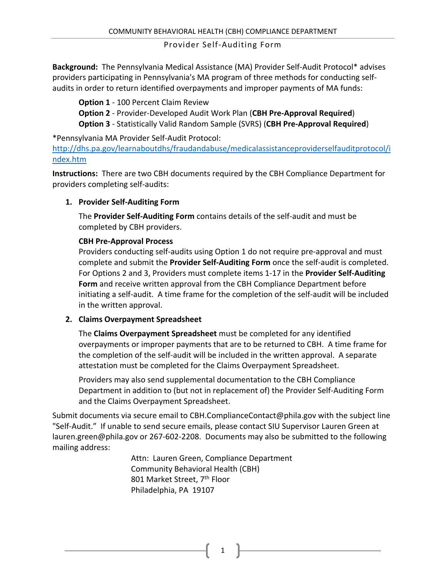**Background:** The Pennsylvania Medical Assistance (MA) Provider Self-Audit Protocol\* advises providers participating in Pennsylvania's MA program of three methods for conducting selfaudits in order to return identified overpayments and improper payments of MA funds:

**Option 1** - 100 Percent Claim Review

**Option 2** - Provider-Developed Audit Work Plan (**CBH Pre-Approval Required**) **Option 3** - Statistically Valid Random Sample (SVRS) (**CBH Pre-Approval Required**)

\*Pennsylvania MA Provider Self-Audit Protocol:

[http://dhs.pa.gov/learnaboutdhs/fraudandabuse/medicalassistanceproviderselfauditprotocol/i](http://dhs.pa.gov/learnaboutdhs/fraudandabuse/medicalassistanceproviderselfauditprotocol/index.htm) [ndex.htm](http://dhs.pa.gov/learnaboutdhs/fraudandabuse/medicalassistanceproviderselfauditprotocol/index.htm)

**Instructions:** There are two CBH documents required by the CBH Compliance Department for providers completing self-audits:

### **1. Provider Self-Auditing Form**

The **Provider Self-Auditing Form** contains details of the self-audit and must be completed by CBH providers.

### **CBH Pre-Approval Process**

Providers conducting self-audits using Option 1 do not require pre-approval and must complete and submit the **Provider Self-Auditing Form** once the self-audit is completed. For Options 2 and 3, Providers must complete items 1-17 in the **Provider Self-Auditing Form** and receive written approval from the CBH Compliance Department before initiating a self-audit. A time frame for the completion of the self-audit will be included in the written approval.

### **2. Claims Overpayment Spreadsheet**

The **Claims Overpayment Spreadsheet** must be completed for any identified overpayments or improper payments that are to be returned to CBH. A time frame for the completion of the self-audit will be included in the written approval. A separate attestation must be completed for the Claims Overpayment Spreadsheet.

Providers may also send supplemental documentation to the CBH Compliance Department in addition to (but not in replacement of) the Provider Self-Auditing Form and the Claims Overpayment Spreadsheet.

Submit documents via secure email to CBH.ComplianceContact@phila.gov with the subject line "Self-Audit." If unable to send secure emails, please contact SIU Supervisor Lauren Green at lauren.green@phila.gov or 267-602-2208. Documents may also be submitted to the following mailing address:

> Attn: Lauren Green, Compliance Department Community Behavioral Health (CBH) 801 Market Street, 7<sup>th</sup> Floor Philadelphia, PA 19107

> > 1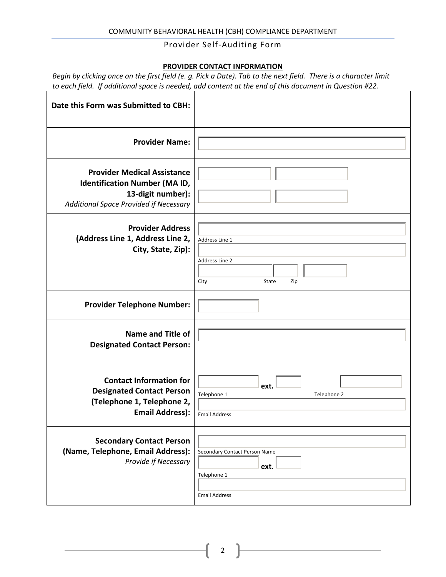### **PROVIDER CONTACT INFORMATION**

|                                                                                                        |  | Begin by clicking once on the first field (e. g. Pick a Date). Tab to the next field. There is a character limit |
|--------------------------------------------------------------------------------------------------------|--|------------------------------------------------------------------------------------------------------------------|
| to each field. If additional space is needed, add content at the end of this document in Question #22. |  |                                                                                                                  |

| Date this Form was Submitted to CBH:                                                                                                      |                                                                              |
|-------------------------------------------------------------------------------------------------------------------------------------------|------------------------------------------------------------------------------|
| <b>Provider Name:</b>                                                                                                                     |                                                                              |
| <b>Provider Medical Assistance</b><br><b>Identification Number (MA ID,</b><br>13-digit number):<br>Additional Space Provided if Necessary |                                                                              |
| <b>Provider Address</b><br>(Address Line 1, Address Line 2,<br>City, State, Zip):                                                         | Address Line 1<br>Address Line 2<br>State<br>City<br>Zip                     |
| <b>Provider Telephone Number:</b>                                                                                                         |                                                                              |
| <b>Name and Title of</b><br><b>Designated Contact Person:</b>                                                                             |                                                                              |
| <b>Contact Information for</b><br><b>Designated Contact Person</b><br>(Telephone 1, Telephone 2,<br><b>Email Address):</b>                | ext.<br>Telephone 1<br>Telephone 2<br><b>Email Address</b>                   |
| <b>Secondary Contact Person</b><br>(Name, Telephone, Email Address):<br>Provide if Necessary                                              | Secondary Contact Person Name<br>ext.<br>Telephone 1<br><b>Email Address</b> |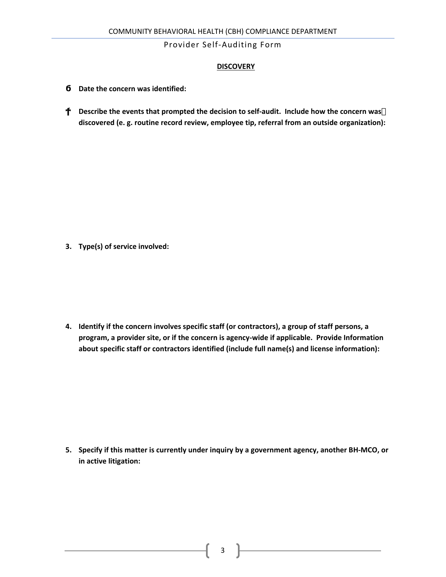### **DISCOVERY**

**Date the concern was identified:** 

**Ϯ͘ Describe the events that prompted the decision to self-audit. Include how the concern was discovered (e. g. routine record review, employee tip, referral from an outside organization):**

**3. Type(s) of service involved:**

**4. Identify if the concern involves specific staff (or contractors), a group of staff persons, a program, a provider site, or if the concern is agency-wide if applicable. Provide Information about specific staff or contractors identified (include full name(s) and license information):**

**5. Specify if this matter is currently under inquiry by a government agency, another BH-MCO, or in active litigation:**

 $3 \quad \}$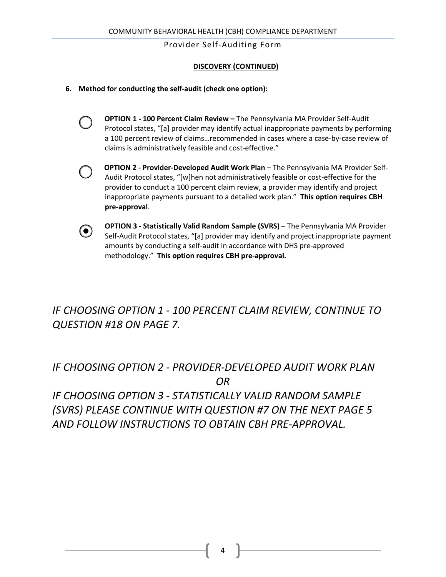### **DISCOVERY (CONTINUED)**

- **6. Method for conducting the self-audit (check one option):**
	- **OPTION 1 100 Percent Claim Review** The Pennsylvania MA Provider Self-Audit Protocol states, "[a] provider may identify actual inappropriate payments by performing a 100 percent review of claims…recommended in cases where a case-by-case review of claims is administratively feasible and cost-effective."
	- **OPTION 2 Provider-Developed Audit Work Plan** The Pennsylvania MA Provider Self-Audit Protocol states, "[w]hen not administratively feasible or cost-effective for the provider to conduct a 100 percent claim review, a provider may identify and project inappropriate payments pursuant to a detailed work plan." **This option requires CBH pre-approval**.
	- $\odot$

**OPTION 3 - Statistically Valid Random Sample (SVRS)** – The Pennsylvania MA Provider Self-Audit Protocol states, "[a] provider may identify and project inappropriate payment amounts by conducting a self-audit in accordance with DHS pre-approved methodology." **This option requires CBH pre-approval.**

# *IF CHOOSING OPTION 1 - 100 PERCENT CLAIM REVIEW, CONTINUE TO QUESTION #18 ON PAGE 7.*

# *IF CHOOSING OPTION 2 - PROVIDER-DEVELOPED AUDIT WORK PLAN OR*

*IF CHOOSING OPTION 3 - STATISTICALLY VALID RANDOM SAMPLE (SVRS) PLEASE CONTINUE WITH QUESTION #7 ON THE NEXT PAGE 5 AND FOLLOW INSTRUCTIONS TO OBTAIN CBH PRE-APPROVAL.*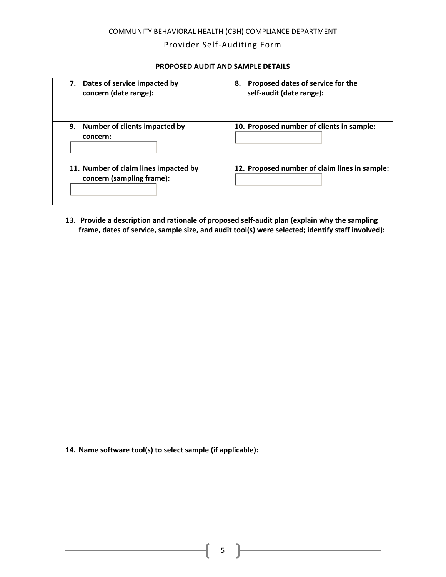### **PROPOSED AUDIT AND SAMPLE DETAILS**

| Dates of service impacted by<br>7.<br>concern (date range):        | 8. Proposed dates of service for the<br>self-audit (date range): |
|--------------------------------------------------------------------|------------------------------------------------------------------|
| 9.<br>Number of clients impacted by<br>concern:                    | 10. Proposed number of clients in sample:                        |
| 11. Number of claim lines impacted by<br>concern (sampling frame): | 12. Proposed number of claim lines in sample:                    |

**13. Provide a description and rationale of proposed self-audit plan (explain why the sampling frame, dates of service, sample size, and audit tool(s) were selected; identify staff involved):**

**14. Name software tool(s) to select sample (if applicable):**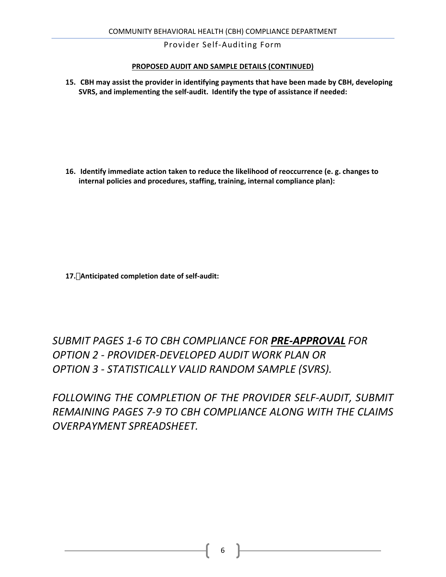### **PROPOSED AUDIT AND SAMPLE DETAILS (CONTINUED)**

**15. CBH may assist the provider in identifying payments that have been made by CBH, developing SVRS, and implementing the self-audit. Identify the type of assistance if needed:**

**16. Identify immediate action taken to reduce the likelihood of reoccurrence (e. g. changes to internal policies and procedures, staffing, training, internal compliance plan):**

**17. Anticipated completion date of self-audit:**

*SUBMIT PAGES 1-6 TO CBH COMPLIANCE FOR PRE-APPROVAL FOR OPTION 2 - PROVIDER-DEVELOPED AUDIT WORK PLAN OR OPTION 3 - STATISTICALLY VALID RANDOM SAMPLE (SVRS).* 

FOLLOWING THE COMPLETION OF THE PROVIDER SELF-AUDIT, SUBMIT *REMAINING PAGES 7-9 TO CBH COMPLIANCE ALONG WITH THE CLAIMS OVERPAYMENT SPREADSHEET.*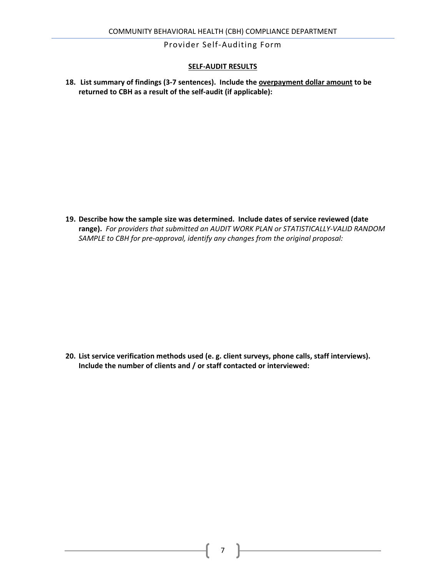### **SELF-AUDIT RESULTS**

**18. List summary of findings (3-7 sentences). Include the overpayment dollar amount to be returned to CBH as a result of the self-audit (if applicable):**

**19. Describe how the sample size was determined. Include dates of service reviewed (date range).** *For providers that submitted an AUDIT WORK PLAN or STATISTICALLY-VALID RANDOM SAMPLE to CBH for pre-approval, identify any changes from the original proposal:*

**20. List service verification methods used (e. g. client surveys, phone calls, staff interviews). Include the number of clients and / or staff contacted or interviewed:**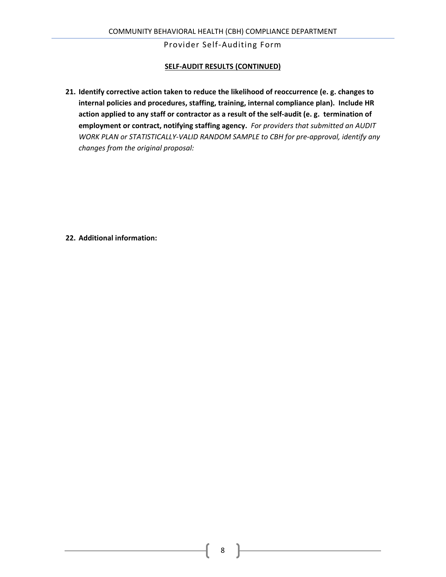### **SELF-AUDIT RESULTS (CONTINUED)**

**21. Identify corrective action taken to reduce the likelihood of reoccurrence (e. g. changes to internal policies and procedures, staffing, training, internal compliance plan). Include HR action applied to any staff or contractor as a result of the self-audit (e. g. termination of employment or contract, notifying staffing agency.** *For providers that submitted an AUDIT WORK PLAN or STATISTICALLY-VALID RANDOM SAMPLE to CBH for pre-approval, identify any changes from the original proposal:*

**22. Additional information:**